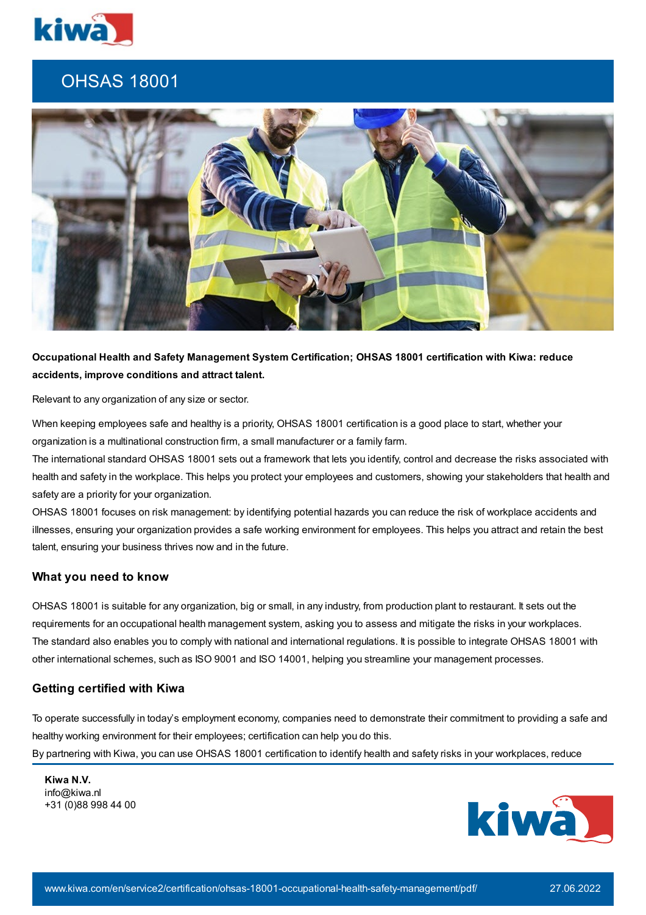

## OHSAS 18001



**Occupational Health and Safety Management System Certification; OHSAS 18001 certification with Kiwa: reduce accidents, improve conditions and attract talent.**

Relevant to any organization of any size or sector.

When keeping employees safe and healthy is a priority, OHSAS 18001 certification is a good place to start, whether your organization is a multinational construction firm, a small manufacturer or a family farm.

The international standard OHSAS 18001 sets out a framework that lets you identify, control and decrease the risks associated with health and safety in the workplace. This helps you protect your employees and customers, showing your stakeholders that health and safety are a priority for your organization.

OHSAS 18001 focuses on risk management: by identifying potential hazards you can reduce the risk of workplace accidents and illnesses, ensuring your organization provides a safe working environment for employees. This helps you attract and retain the best talent, ensuring your business thrives now and in the future.

## **What you need to know**

OHSAS 18001 is suitable for any organization, big or small, in any industry, from production plant to restaurant. It sets out the requirements for an occupational health management system, asking you to assess and mitigate the risks in your workplaces. The standard also enables you to comply with national and international regulations. It is possible to integrate OHSAS 18001 with other international schemes, such as ISO 9001 and ISO 14001, helping you streamline your management processes.

## **Getting certified with Kiwa**

To operate successfully in today's employment economy, companies need to demonstrate their commitment to providing a safe and healthy working environment for their employees; certification can help you do this. By partnering with Kiwa, you can use OHSAS 18001 certification to identify health and safety risks in your workplaces, reduce

**Kiwa N.V.** info@kiwa.nl +31 (0)88 998 44 00